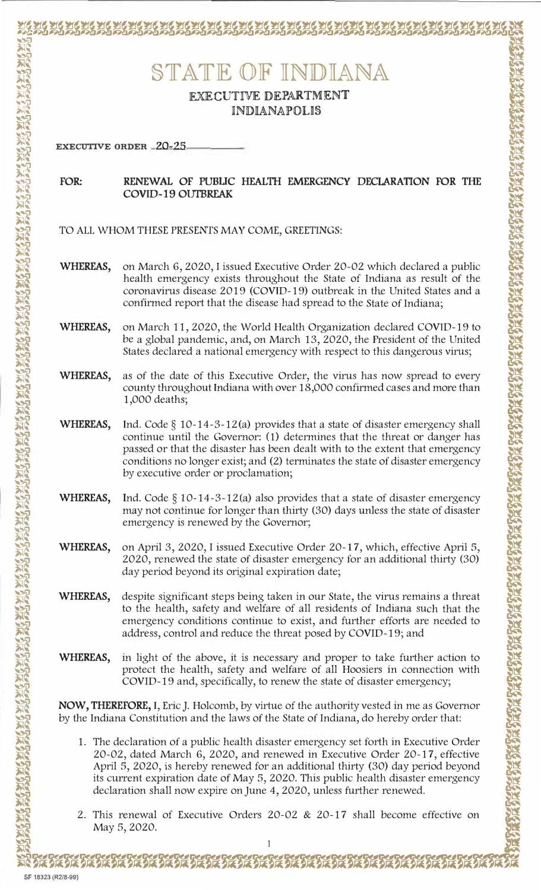STATE OF INDIANA

**EXECUTIVE DEPARTMENT INDIANAPOLIS** 

**EXECUTIVE ORDER 20-25** 

## RENEWAL OF PUBLIC HEALTH EMERGENCY DECLARATION FOR THE FOR: **COVID-19 OUTBREAK**

- TO ALL WHOM THESE PRESENTS MAY COME, GREETINGS:
- WHEREAS, on March 6, 2020, I issued Executive Order 20-02 which declared a public health emergency exists throughout the State of Indiana as result of the coronavirus disease 2019 (COVID-19) outbreak in the United States and a confirmed report that the disease had spread to the State of Indiana;
- on March 11, 2020, the World Health Organization declared COVID-19 to WHEREAS, be a global pandemic, and, on March 13, 2020, the President of the United States declared a national emergency with respect to this dangerous virus;
- WHEREAS, as of the date of this Executive Order, the virus has now spread to every county throughout Indiana with over 18,000 confirmed cases and more than 1,000 deaths;
- WHEREAS, Ind. Code  $\S$  10-14-3-12(a) provides that a state of disaster emergency shall continue until the Governor: (1) determines that the threat or danger has passed or that the disaster has been dealt with to the extent that emergency conditions no longer exist; and (2) terminates the state of disaster emergency by executive order or proclamation;
- WHEREAS, Ind. Code  $\S$  10-14-3-12(a) also provides that a state of disaster emergency may not continue for longer than thirty (30) days unless the state of disaster emergency is renewed by the Governor;
- on April 3, 2020, I issued Executive Order 20-17, which, effective April 5, WHEREAS, 2020, renewed the state of disaster emergency for an additional thirty (30) day period beyond its original expiration date;
- WHEREAS, despite significant steps being taken in our State, the virus remains a threat to the health, safety and welfare of all residents of Indiana such that the emergency conditions continue to exist, and further efforts are needed to address, control and reduce the threat posed by COVID-19; and
- WHEREAS, in light of the above, it is necessary and proper to take further action to protect the health, safety and welfare of all Hoosiers in connection with COVID-19 and, specifically, to renew the state of disaster emergency;

NOW, THEREFORE, I, Eric J. Holcomb, by virtue of the authority vested in me as Governor by the Indiana Constitution and the laws of the State of Indiana, do hereby order that:

- 1. The declaration of a public health disaster emergency set forth in Executive Order 20-02, dated March 6, 2020, and renewed in Executive Order 20-17, effective April 5, 2020, is hereby renewed for an additional thirty (30) day period beyond its current expiration date of May 5, 2020. This public health disaster emergency declaration shall now expire on June 4, 2020, unless further renewed.
- 2. This renewal of Executive Orders 20-02 & 20-17 shall become effective on May 5, 2020.